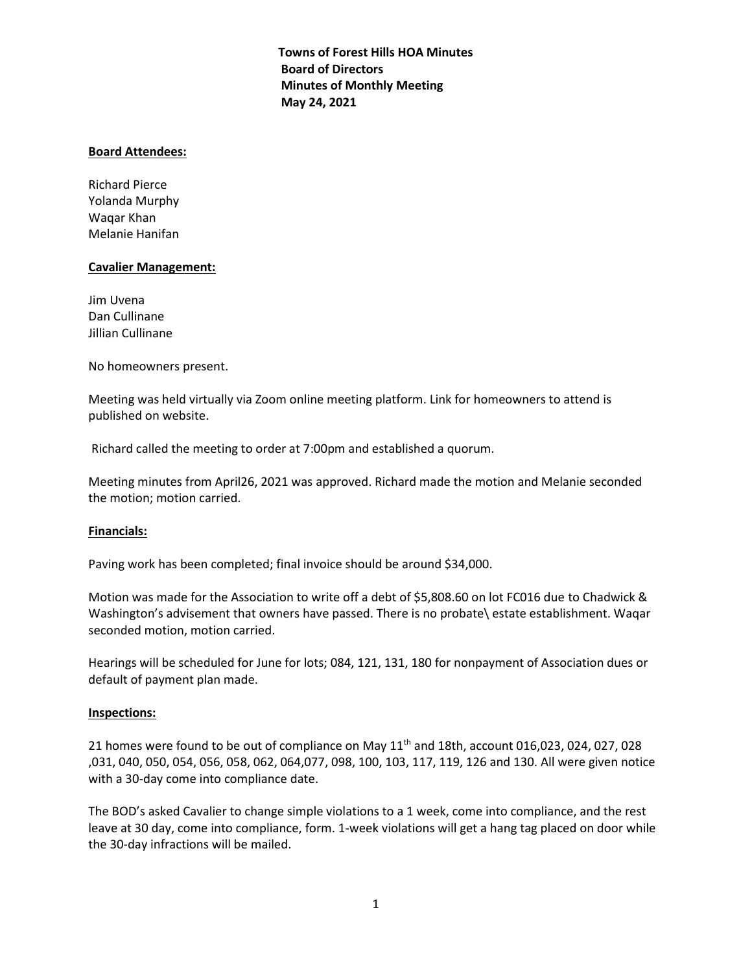**Towns of Forest Hills HOA Minutes Board of Directors Minutes of Monthly Meeting May 24, 2021**

## **Board Attendees:**

Richard Pierce Yolanda Murphy Waqar Khan Melanie Hanifan

## **Cavalier Management:**

Jim Uvena Dan Cullinane Jillian Cullinane

No homeowners present.

Meeting was held virtually via Zoom online meeting platform. Link for homeowners to attend is published on website.

Richard called the meeting to order at 7:00pm and established a quorum.

Meeting minutes from April26, 2021 was approved. Richard made the motion and Melanie seconded the motion; motion carried.

# **Financials:**

Paving work has been completed; final invoice should be around \$34,000.

Motion was made for the Association to write off a debt of \$5,808.60 on lot FC016 due to Chadwick & Washington's advisement that owners have passed. There is no probate\ estate establishment. Waqar seconded motion, motion carried.

Hearings will be scheduled for June for lots; 084, 121, 131, 180 for nonpayment of Association dues or default of payment plan made.

#### **Inspections:**

21 homes were found to be out of compliance on May 11<sup>th</sup> and 18th, account 016,023, 024, 027, 028 ,031, 040, 050, 054, 056, 058, 062, 064,077, 098, 100, 103, 117, 119, 126 and 130. All were given notice with a 30-day come into compliance date.

The BOD's asked Cavalier to change simple violations to a 1 week, come into compliance, and the rest leave at 30 day, come into compliance, form. 1-week violations will get a hang tag placed on door while the 30-day infractions will be mailed.